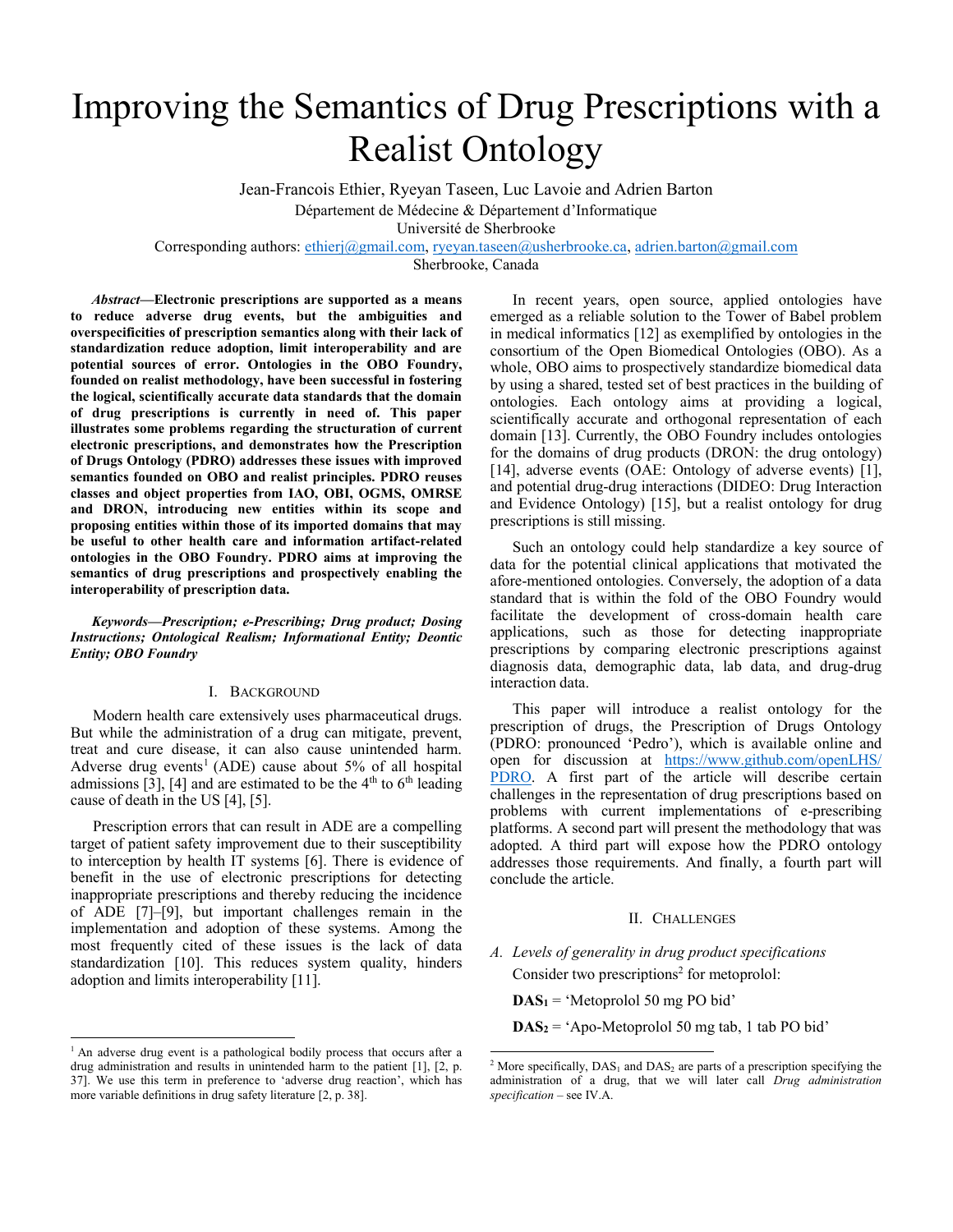# Improving the Semantics of Drug Prescriptions with a Realist Ontology

Jean-Francois Ethier, Ryeyan Taseen, Luc Lavoie and Adrien Barton Département de Médecine & Département d'Informatique

Université de Sherbrooke

Corresponding authors: [ethierj@gmail.com,](mailto:ethierj@gmail.com) [ryeyan.taseen@usherbrooke.ca,](mailto:ryeyan.taseen@usherbrooke.ca) [adrien.barton@gmail.com](mailto:adrien.barton@gmail.com)

Sherbrooke, Canada

*Abstract***—Electronic prescriptions are supported as a means to reduce adverse drug events, but the ambiguities and overspecificities of prescription semantics along with their lack of standardization reduce adoption, limit interoperability and are potential sources of error. Ontologies in the OBO Foundry, founded on realist methodology, have been successful in fostering the logical, scientifically accurate data standards that the domain of drug prescriptions is currently in need of. This paper illustrates some problems regarding the structuration of current electronic prescriptions, and demonstrates how the Prescription of Drugs Ontology (PDRO) addresses these issues with improved semantics founded on OBO and realist principles. PDRO reuses classes and object properties from IAO, OBI, OGMS, OMRSE and DRON, introducing new entities within its scope and proposing entities within those of its imported domains that may be useful to other health care and information artifact-related ontologies in the OBO Foundry. PDRO aims at improving the semantics of drug prescriptions and prospectively enabling the interoperability of prescription data.**

*Keywords—Prescription; e-Prescribing; Drug product; Dosing Instructions; Ontological Realism; Informational Entity; Deontic Entity; OBO Foundry*

## I. BACKGROUND

Modern health care extensively uses pharmaceutical drugs. But while the administration of a drug can mitigate, prevent, treat and cure disease, it can also cause unintended harm. Adverse drug events<sup>1</sup> (ADE) cause about  $5\%$  of all hospital admissions [3], [4] and are estimated to be the  $4<sup>th</sup>$  to  $6<sup>th</sup>$  leading cause of death in the US [4], [5].

Prescription errors that can result in ADE are a compelling target of patient safety improvement due to their susceptibility to interception by health IT systems [6]. There is evidence of benefit in the use of electronic prescriptions for detecting inappropriate prescriptions and thereby reducing the incidence of ADE [7]–[9], but important challenges remain in the implementation and adoption of these systems. Among the most frequently cited of these issues is the lack of data standardization [10]. This reduces system quality, hinders adoption and limits interoperability [11].

<sup>1</sup> An adverse drug event is a pathological bodily process that occurs after a drug administration and results in unintended harm to the patient [1], [2, p. 37]. We use this term in preference to 'adverse drug reaction', which has more variable definitions in drug safety literature [2, p. 38].

In recent years, open source, applied ontologies have emerged as a reliable solution to the Tower of Babel problem in medical informatics [12] as exemplified by ontologies in the consortium of the Open Biomedical Ontologies (OBO). As a whole, OBO aims to prospectively standardize biomedical data by using a shared, tested set of best practices in the building of ontologies. Each ontology aims at providing a logical, scientifically accurate and orthogonal representation of each domain [13]. Currently, the OBO Foundry includes ontologies for the domains of drug products (DRON: the drug ontology) [14], adverse events (OAE: Ontology of adverse events) [1], and potential drug-drug interactions (DIDEO: Drug Interaction and Evidence Ontology) [15], but a realist ontology for drug prescriptions is still missing.

Such an ontology could help standardize a key source of data for the potential clinical applications that motivated the afore-mentioned ontologies. Conversely, the adoption of a data standard that is within the fold of the OBO Foundry would facilitate the development of cross-domain health care applications, such as those for detecting inappropriate prescriptions by comparing electronic prescriptions against diagnosis data, demographic data, lab data, and drug-drug interaction data.

This paper will introduce a realist ontology for the prescription of drugs, the Prescription of Drugs Ontology (PDRO: pronounced 'Pedro'), which is available online and open for discussion at [https://www.github.com/openLHS/](https://www.github.com/openLHS/PDRO) [PDRO.](https://www.github.com/openLHS/PDRO) A first part of the article will describe certain challenges in the representation of drug prescriptions based on problems with current implementations of e-prescribing platforms. A second part will present the methodology that was adopted. A third part will expose how the PDRO ontology addresses those requirements. And finally, a fourth part will conclude the article.

#### II. CHALLENGES

*A. Levels of generality in drug product specifications* Consider two prescriptions<sup>2</sup> for metoprolol:

**DAS1** = 'Metoprolol 50 mg PO bid'

**DAS2** = 'Apo-Metoprolol 50 mg tab, 1 tab PO bid'

<sup>&</sup>lt;sup>2</sup> More specifically,  $DAS_1$  and  $DAS_2$  are parts of a prescription specifying the administration of a drug, that we will later call *Drug administration specification* – see IV.A.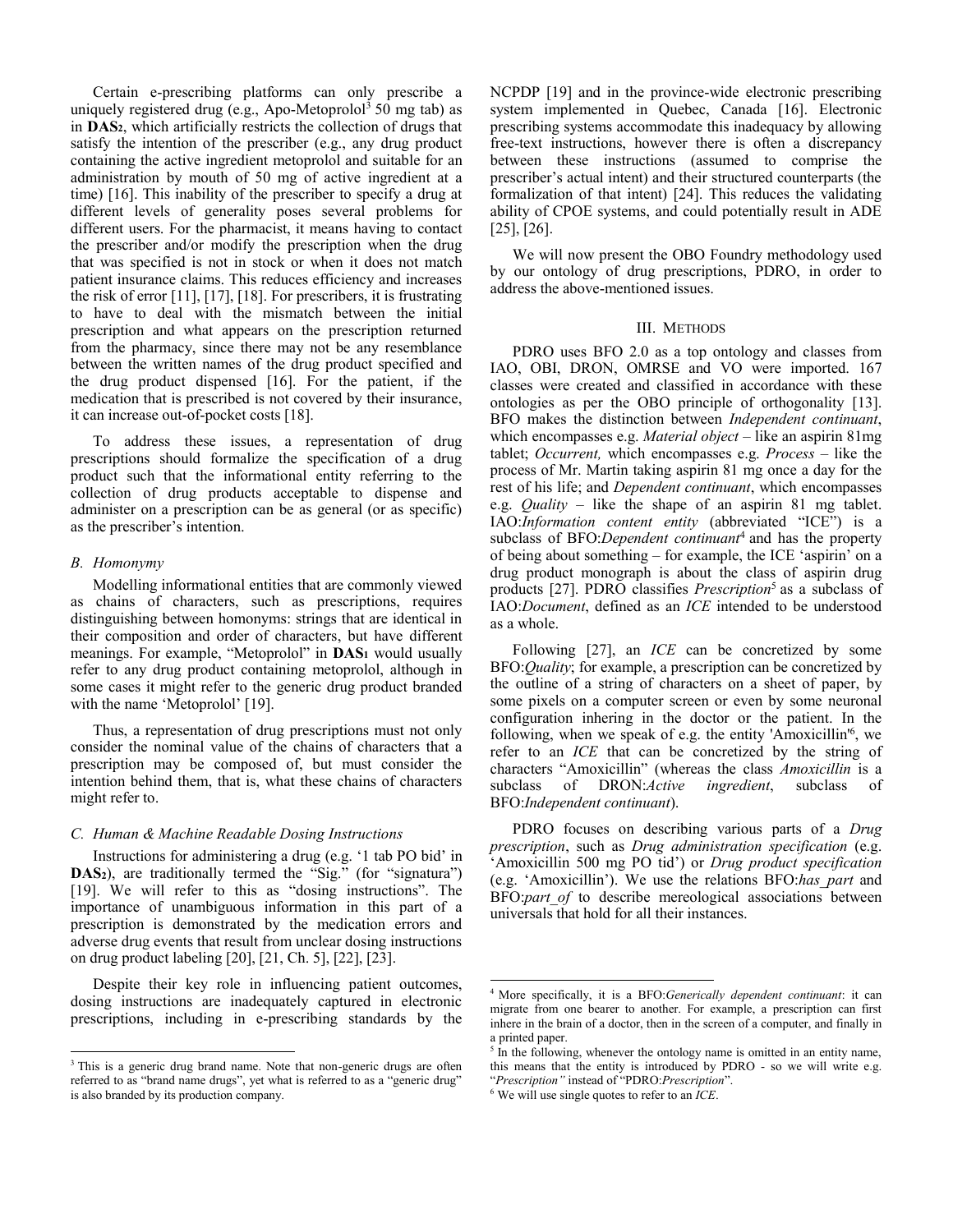Certain e-prescribing platforms can only prescribe a uniquely registered drug (e.g., Apo-Metoprolol<sup>3</sup> 50 mg tab) as in **DAS2**, which artificially restricts the collection of drugs that satisfy the intention of the prescriber (e.g., any drug product containing the active ingredient metoprolol and suitable for an administration by mouth of 50 mg of active ingredient at a time) [16]. This inability of the prescriber to specify a drug at different levels of generality poses several problems for different users. For the pharmacist, it means having to contact the prescriber and/or modify the prescription when the drug that was specified is not in stock or when it does not match patient insurance claims. This reduces efficiency and increases the risk of error [11], [17], [18]. For prescribers, it is frustrating to have to deal with the mismatch between the initial prescription and what appears on the prescription returned from the pharmacy, since there may not be any resemblance between the written names of the drug product specified and the drug product dispensed [16]. For the patient, if the medication that is prescribed is not covered by their insurance, it can increase out-of-pocket costs [18].

To address these issues, a representation of drug prescriptions should formalize the specification of a drug product such that the informational entity referring to the collection of drug products acceptable to dispense and administer on a prescription can be as general (or as specific) as the prescriber's intention.

## *B. Homonymy*

Modelling informational entities that are commonly viewed as chains of characters, such as prescriptions, requires distinguishing between homonyms: strings that are identical in their composition and order of characters, but have different meanings. For example, "Metoprolol" in **DAS1** would usually refer to any drug product containing metoprolol, although in some cases it might refer to the generic drug product branded with the name 'Metoprolol' [19].

Thus, a representation of drug prescriptions must not only consider the nominal value of the chains of characters that a prescription may be composed of, but must consider the intention behind them, that is, what these chains of characters might refer to.

#### *C. Human & Machine Readable Dosing Instructions*

Instructions for administering a drug (e.g. '1 tab PO bid' in **DAS**<sub>2</sub>), are traditionally termed the "Sig." (for "signatura") [19]. We will refer to this as "dosing instructions". The importance of unambiguous information in this part of a prescription is demonstrated by the medication errors and adverse drug events that result from unclear dosing instructions on drug product labeling [20], [21, Ch. 5], [22], [23].

Despite their key role in influencing patient outcomes, dosing instructions are inadequately captured in electronic prescriptions, including in e-prescribing standards by the NCPDP [19] and in the province-wide electronic prescribing system implemented in Quebec, Canada [16]. Electronic prescribing systems accommodate this inadequacy by allowing free-text instructions, however there is often a discrepancy between these instructions (assumed to comprise the prescriber's actual intent) and their structured counterparts (the formalization of that intent) [24]. This reduces the validating ability of CPOE systems, and could potentially result in ADE [25], [26].

We will now present the OBO Foundry methodology used by our ontology of drug prescriptions, PDRO, in order to address the above-mentioned issues.

#### III. METHODS

PDRO uses BFO 2.0 as a top ontology and classes from IAO, OBI, DRON, OMRSE and VO were imported. 167 classes were created and classified in accordance with these ontologies as per the OBO principle of orthogonality [13]. BFO makes the distinction between *Independent continuant*, which encompasses e.g. *Material object* – like an aspirin 81mg tablet; *Occurrent,* which encompasses e.g. *Process* – like the process of Mr. Martin taking aspirin 81 mg once a day for the rest of his life; and *Dependent continuant*, which encompasses e.g. *Quality* – like the shape of an aspirin 81 mg tablet. IAO:*Information content entity* (abbreviated "ICE") is a subclass of BFO:*Dependent continuant*<sup>4</sup> and has the property of being about something – for example, the ICE 'aspirin' on a drug product monograph is about the class of aspirin drug products [27]. PDRO classifies *Prescription*<sup>5</sup> as a subclass of IAO:*Document*, defined as an *ICE* intended to be understood as a whole.

Following [27], an *ICE* can be concretized by some BFO:*Quality*; for example, a prescription can be concretized by the outline of a string of characters on a sheet of paper, by some pixels on a computer screen or even by some neuronal configuration inhering in the doctor or the patient. In the following, when we speak of e.g. the entity 'Amoxicillin'<sup>6</sup>, we refer to an *ICE* that can be concretized by the string of characters "Amoxicillin" (whereas the class *Amoxicillin* is a subclass of DRON:*Active ingredient*, subclass of BFO:*Independent continuant*).

PDRO focuses on describing various parts of a *Drug prescription*, such as *Drug administration specification* (e.g. 'Amoxicillin 500 mg PO tid') or *Drug product specification* (e.g. 'Amoxicillin'). We use the relations BFO:*has\_part* and BFO:*part of* to describe mereological associations between universals that hold for all their instances.

<sup>&</sup>lt;sup>3</sup> This is a generic drug brand name. Note that non-generic drugs are often referred to as "brand name drugs", yet what is referred to as a "generic drug" is also branded by its production company.

 <sup>4</sup> More specifically, it is a BFO:*Generically dependent continuant*: it can migrate from one bearer to another. For example, a prescription can first inhere in the brain of a doctor, then in the screen of a computer, and finally in a printed paper.

<sup>&</sup>lt;sup>5</sup> In the following, whenever the ontology name is omitted in an entity name, this means that the entity is introduced by PDRO - so we will write e.g. "*Prescription"* instead of "PDRO:*Prescription*".

<sup>6</sup> We will use single quotes to refer to an *ICE*.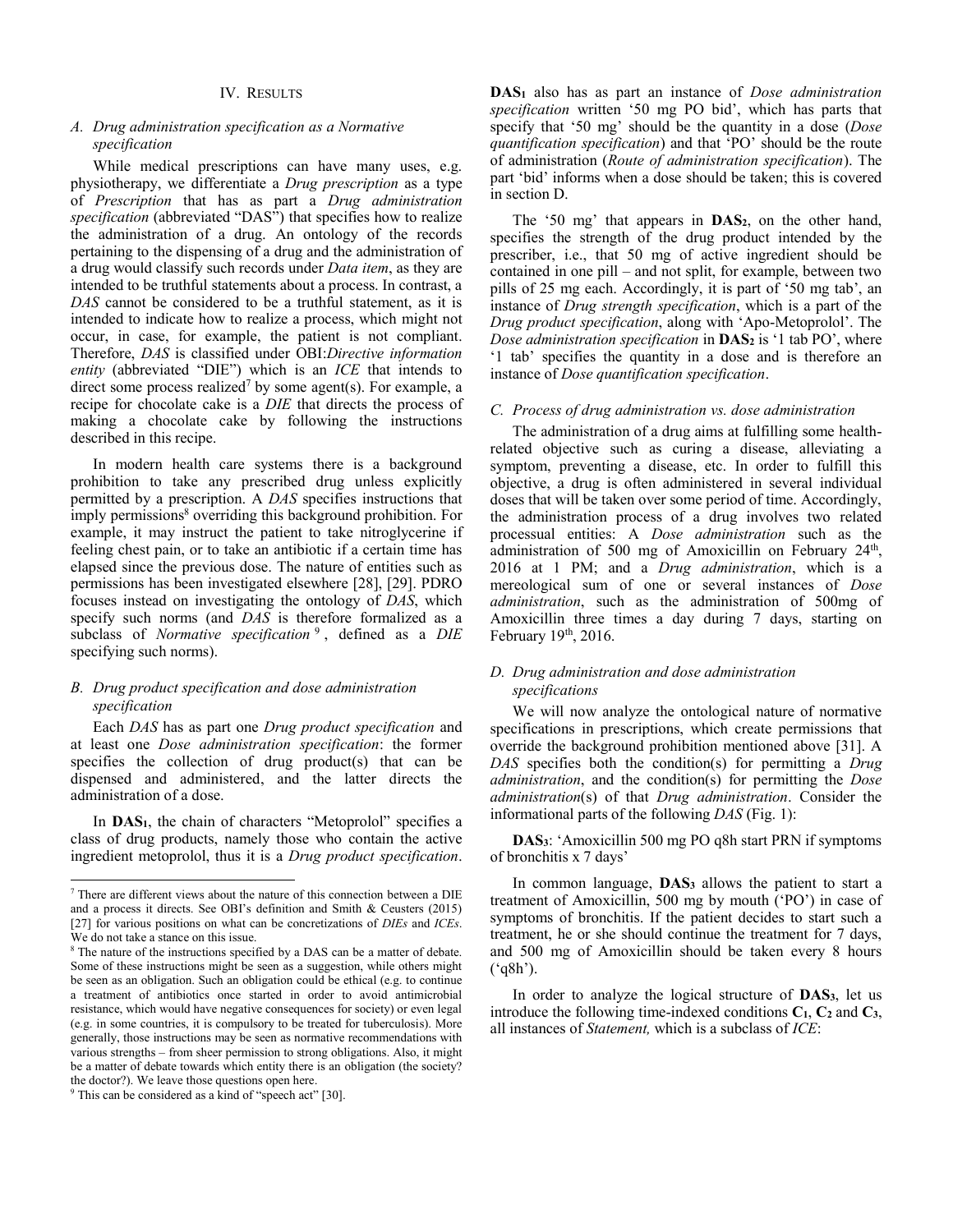## *A. Drug administration specification as a Normative specification*

While medical prescriptions can have many uses, e.g. physiotherapy, we differentiate a *Drug prescription* as a type of *Prescription* that has as part a *Drug administration specification* (abbreviated "DAS") that specifies how to realize the administration of a drug. An ontology of the records pertaining to the dispensing of a drug and the administration of a drug would classify such records under *Data item*, as they are intended to be truthful statements about a process. In contrast, a *DAS* cannot be considered to be a truthful statement, as it is intended to indicate how to realize a process, which might not occur, in case, for example, the patient is not compliant. Therefore, *DAS* is classified under OBI:*Directive information entity* (abbreviated "DIE") which is an *ICE* that intends to direct some process realized<sup>7</sup> by some agent(s). For example, a recipe for chocolate cake is a *DIE* that directs the process of making a chocolate cake by following the instructions described in this recipe.

In modern health care systems there is a background prohibition to take any prescribed drug unless explicitly permitted by a prescription. A *DAS* specifies instructions that imply permissions<sup>8</sup> overriding this background prohibition. For example, it may instruct the patient to take nitroglycerine if feeling chest pain, or to take an antibiotic if a certain time has elapsed since the previous dose. The nature of entities such as permissions has been investigated elsewhere [28], [29]. PDRO focuses instead on investigating the ontology of *DAS*, which specify such norms (and *DAS* is therefore formalized as a subclass of *Normative specification* <sup>9</sup> , defined as a *DIE* specifying such norms).

# *B. Drug product specification and dose administration specification*

Each *DAS* has as part one *Drug product specification* and at least one *Dose administration specification*: the former specifies the collection of drug product(s) that can be dispensed and administered, and the latter directs the administration of a dose.

In **DAS1**, the chain of characters "Metoprolol" specifies a class of drug products, namely those who contain the active ingredient metoprolol, thus it is a *Drug product specification*.

**DAS1** also has as part an instance of *Dose administration specification* written '50 mg PO bid', which has parts that specify that '50 mg' should be the quantity in a dose (*Dose quantification specification*) and that 'PO' should be the route of administration (*Route of administration specification*). The part 'bid' informs when a dose should be taken; this is covered in section D.

The '50 mg' that appears in **DAS2**, on the other hand, specifies the strength of the drug product intended by the prescriber, i.e., that 50 mg of active ingredient should be contained in one pill – and not split, for example, between two pills of 25 mg each. Accordingly, it is part of '50 mg tab', an instance of *Drug strength specification*, which is a part of the *Drug product specification*, along with 'Apo-Metoprolol'. The *Dose administration specification* in **DAS**<sub>2</sub> is '1 tab PO', where '1 tab' specifies the quantity in a dose and is therefore an instance of *Dose quantification specification*.

## *C. Process of drug administration vs. dose administration*

The administration of a drug aims at fulfilling some healthrelated objective such as curing a disease, alleviating a symptom, preventing a disease, etc. In order to fulfill this objective, a drug is often administered in several individual doses that will be taken over some period of time. Accordingly, the administration process of a drug involves two related processual entities: A *Dose administration* such as the administration of 500 mg of Amoxicillin on February 24<sup>th</sup>, 2016 at 1 PM; and a *Drug administration*, which is a mereological sum of one or several instances of *Dose administration*, such as the administration of 500mg of Amoxicillin three times a day during 7 days, starting on February  $19<sup>th</sup>$ , 2016.

## *D. Drug administration and dose administration specifications*

We will now analyze the ontological nature of normative specifications in prescriptions, which create permissions that override the background prohibition mentioned above [31]. A *DAS* specifies both the condition(s) for permitting a *Drug administration*, and the condition(s) for permitting the *Dose administration*(s) of that *Drug administration*. Consider the informational parts of the following *DAS* (Fig. 1):

**DAS3**: 'Amoxicillin 500 mg PO q8h start PRN if symptoms of bronchitis x 7 days'

 <sup>7</sup> There are different views about the nature of this connection between a DIE and a process it directs. See OBI's definition and Smith & Ceusters (2015) [27] for various positions on what can be concretizations of *DIEs* and *ICEs*. We do not take a stance on this issue.

<sup>&</sup>lt;sup>8</sup> The nature of the instructions specified by a DAS can be a matter of debate. Some of these instructions might be seen as a suggestion, while others might be seen as an obligation. Such an obligation could be ethical (e.g. to continue a treatment of antibiotics once started in order to avoid antimicrobial resistance, which would have negative consequences for society) or even legal (e.g. in some countries, it is compulsory to be treated for tuberculosis). More generally, those instructions may be seen as normative recommendations with various strengths – from sheer permission to strong obligations. Also, it might be a matter of debate towards which entity there is an obligation (the society? the doctor?). We leave those questions open here.

<sup>&</sup>lt;sup>9</sup> This can be considered as a kind of "speech act" [30].

In common language, DAS<sub>3</sub> allows the patient to start a treatment of Amoxicillin, 500 mg by mouth ('PO') in case of symptoms of bronchitis. If the patient decides to start such a treatment, he or she should continue the treatment for 7 days, and 500 mg of Amoxicillin should be taken every 8 hours  $({}^{\circ}q8h$ <sup>2</sup>).

In order to analyze the logical structure of **DAS3**, let us introduce the following time-indexed conditions  $C_1$ ,  $C_2$  and  $C_3$ , all instances of *Statement,* which is a subclass of *ICE*: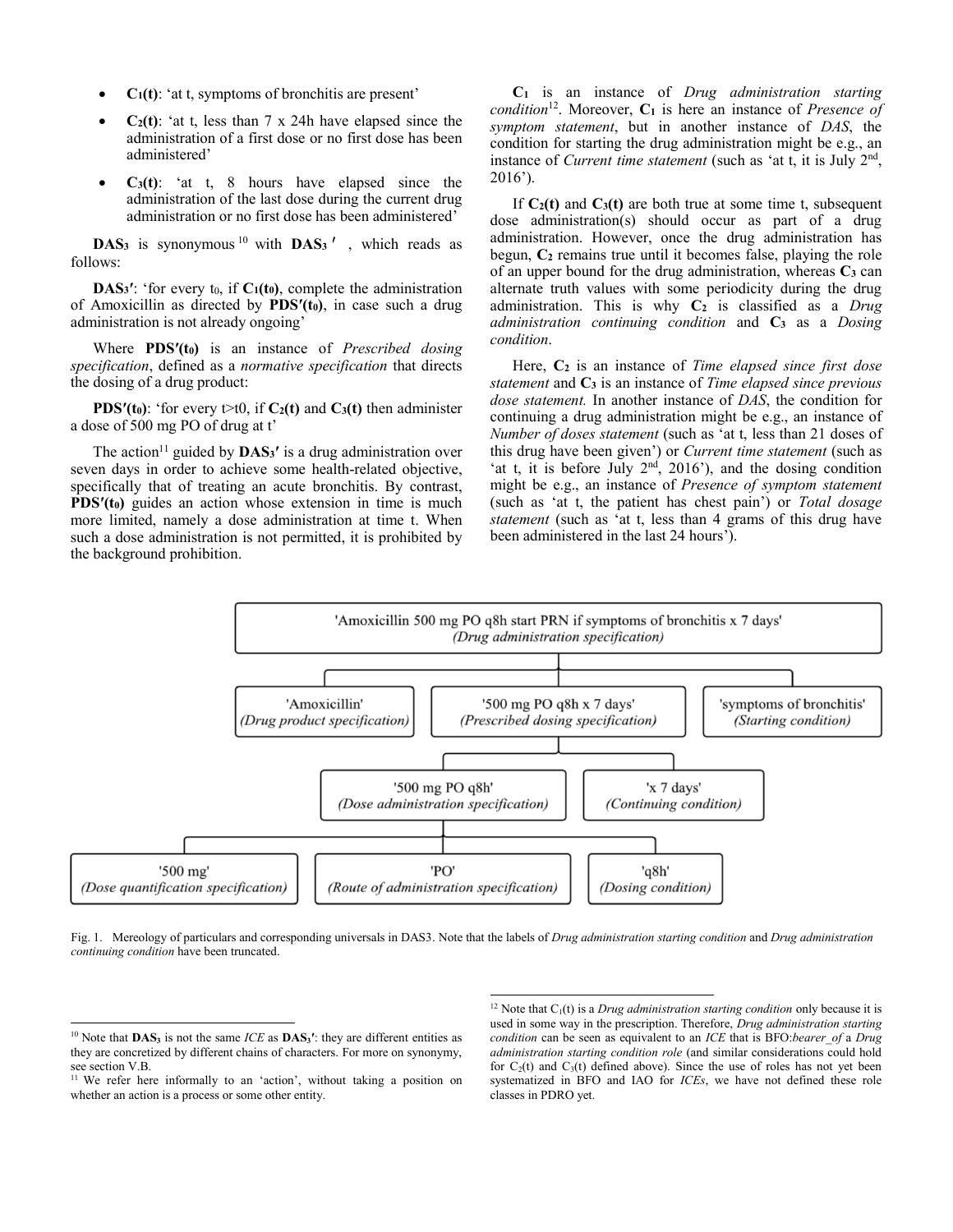- $C_1(t)$ : 'at t, symptoms of bronchitis are present'
- $C_2(t)$ : 'at t, less than 7 x 24h have elapsed since the administration of a first dose or no first dose has been administered'
- $C_3(t)$ : 'at t, 8 hours have elapsed since the administration of the last dose during the current drug administration or no first dose has been administered'

**DAS<sub>3</sub>** is synonymous<sup>10</sup> with **DAS<sub>3</sub><sup>'</sup>, which reads as** follows:

**DAS<sub>3</sub><sup>** $\prime$ **</sup>: 'for every t<sub>0</sub>, if**  $C_1(t_0)$ **, complete the administration** of Amoxicillin as directed by **PDS′(t0)**, in case such a drug administration is not already ongoing'

Where **PDS′(t0)** is an instance of *Prescribed dosing specification*, defined as a *normative specification* that directs the dosing of a drug product:

**PDS<sup>** $\prime$ **</sup>(t<sub>0</sub>): 'for every t>t0, if <b>C<sub>2</sub>(t)** and **C<sub>3</sub>(t)** then administer a dose of 500 mg PO of drug at t'

The action<sup>11</sup> guided by  $\bf{DAS_3}'$  is a drug administration over seven days in order to achieve some health-related objective, specifically that of treating an acute bronchitis. By contrast, **PDS<sup>'</sup>(t<sub>0</sub>)** guides an action whose extension in time is much more limited, namely a dose administration at time t. When such a dose administration is not permitted, it is prohibited by the background prohibition.

**C1** is an instance of *Drug administration starting condition*12. Moreover, **C1** is here an instance of *Presence of symptom statement*, but in another instance of *DAS*, the condition for starting the drug administration might be e.g., an instance of *Current time statement* (such as 'at t, it is July  $2<sup>nd</sup>$ , 2016').

If  $C_2(t)$  and  $C_3(t)$  are both true at some time t, subsequent dose administration(s) should occur as part of a drug administration. However, once the drug administration has begun, **C2** remains true until it becomes false, playing the role of an upper bound for the drug administration, whereas  $C_3$  can alternate truth values with some periodicity during the drug administration. This is why C<sub>2</sub> is classified as a *Drug administration continuing condition* and **C3** as a *Dosing condition*.

Here, **C2** is an instance of *Time elapsed since first dose statement* and **C3** is an instance of *Time elapsed since previous dose statement.* In another instance of *DAS*, the condition for continuing a drug administration might be e.g., an instance of *Number of doses statement* (such as 'at t, less than 21 doses of this drug have been given') or *Current time statement* (such as 'at t, it is before July  $2<sup>nd</sup>$ ,  $2016'$ ), and the dosing condition might be e.g., an instance of *Presence of symptom statement* (such as 'at t, the patient has chest pain') or *Total dosage statement* (such as 'at t, less than 4 grams of this drug have been administered in the last 24 hours').



Fig. 1. Mereology of particulars and corresponding universals in DAS3. Note that the labels of *Drug administration starting condition* and *Drug administration continuing condition* have been truncated.

<sup>&</sup>lt;sup>10</sup> Note that **DAS**<sub>3</sub> is not the same *ICE* as **DAS**<sub>3</sub><sup> $\prime$ </sup>: they are different entities as they are concretized by different chains of characters. For more on synonymy, see section V.B.

<sup>&</sup>lt;sup>11</sup> We refer here informally to an 'action', without taking a position on whether an action is a process or some other entity.

<sup>&</sup>lt;sup>12</sup> Note that  $C_1(t)$  is a *Drug administration starting condition* only because it is used in some way in the prescription. Therefore, *Drug administration starting condition* can be seen as equivalent to an *ICE* that is BFO:*bearer\_of* a *Drug administration starting condition role* (and similar considerations could hold for  $C_2(t)$  and  $C_3(t)$  defined above). Since the use of roles has not yet been systematized in BFO and IAO for *ICEs*, we have not defined these role classes in PDRO yet.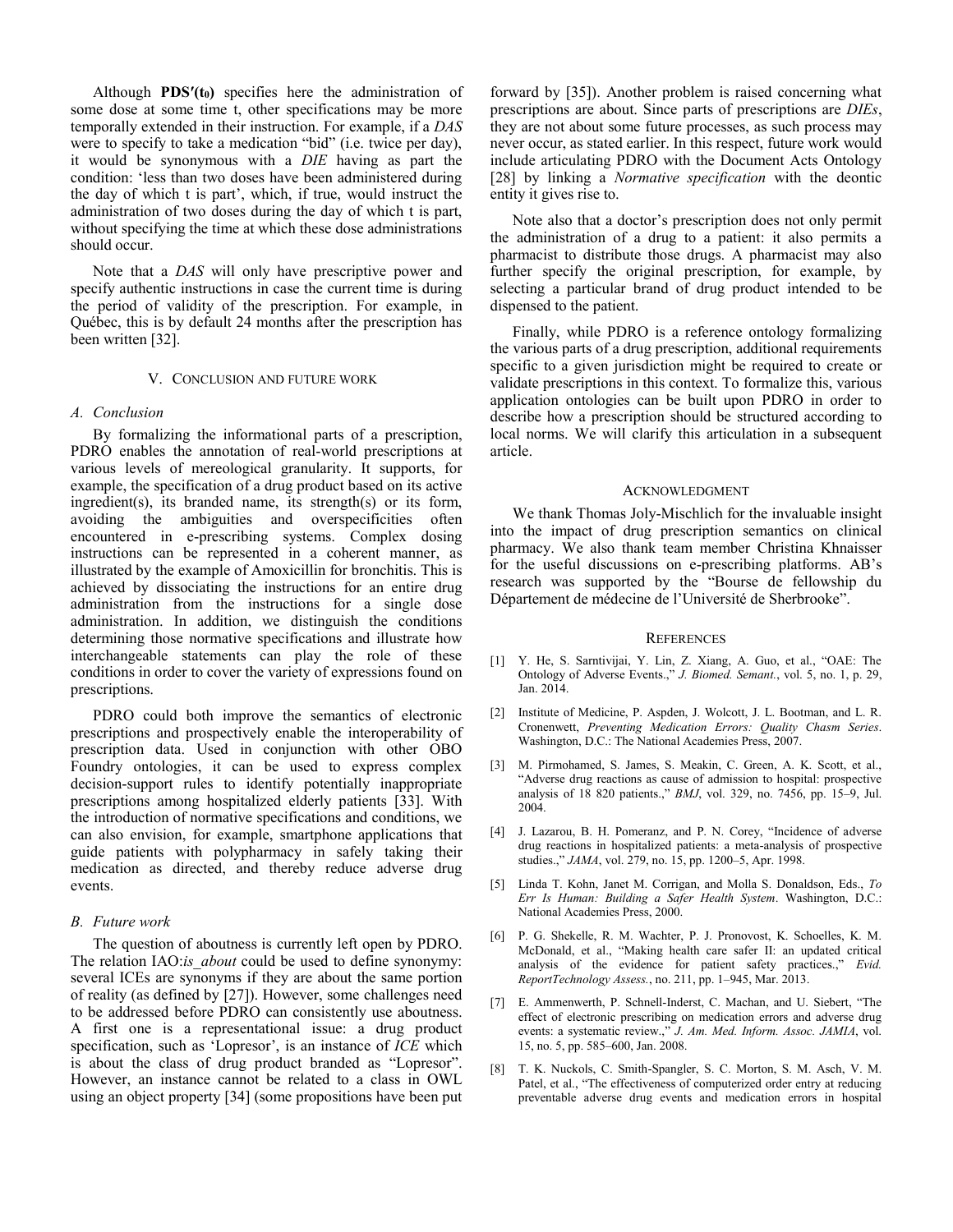Although **PDS′(t0)** specifies here the administration of some dose at some time t, other specifications may be more temporally extended in their instruction. For example, if a *DAS* were to specify to take a medication "bid" (i.e. twice per day), it would be synonymous with a *DIE* having as part the condition: 'less than two doses have been administered during the day of which t is part', which, if true, would instruct the administration of two doses during the day of which t is part, without specifying the time at which these dose administrations should occur.

Note that a *DAS* will only have prescriptive power and specify authentic instructions in case the current time is during the period of validity of the prescription. For example, in Québec, this is by default 24 months after the prescription has been written [32].

## V. CONCLUSION AND FUTURE WORK

#### *A. Conclusion*

By formalizing the informational parts of a prescription, PDRO enables the annotation of real-world prescriptions at various levels of mereological granularity. It supports, for example, the specification of a drug product based on its active ingredient(s), its branded name, its strength(s) or its form, avoiding the ambiguities and overspecificities often encountered in e-prescribing systems. Complex dosing instructions can be represented in a coherent manner, as illustrated by the example of Amoxicillin for bronchitis. This is achieved by dissociating the instructions for an entire drug administration from the instructions for a single dose administration. In addition, we distinguish the conditions determining those normative specifications and illustrate how interchangeable statements can play the role of these conditions in order to cover the variety of expressions found on prescriptions.

PDRO could both improve the semantics of electronic prescriptions and prospectively enable the interoperability of prescription data. Used in conjunction with other OBO Foundry ontologies, it can be used to express complex decision-support rules to identify potentially inappropriate prescriptions among hospitalized elderly patients [33]. With the introduction of normative specifications and conditions, we can also envision, for example, smartphone applications that guide patients with polypharmacy in safely taking their medication as directed, and thereby reduce adverse drug events.

## *B. Future work*

The question of aboutness is currently left open by PDRO. The relation IAO:*is* about could be used to define synonymy: several ICEs are synonyms if they are about the same portion of reality (as defined by [27]). However, some challenges need to be addressed before PDRO can consistently use aboutness. A first one is a representational issue: a drug product specification, such as 'Lopresor', is an instance of *ICE* which is about the class of drug product branded as "Lopresor". However, an instance cannot be related to a class in OWL using an object property [34] (some propositions have been put forward by [35]). Another problem is raised concerning what prescriptions are about. Since parts of prescriptions are *DIEs*, they are not about some future processes, as such process may never occur, as stated earlier. In this respect, future work would include articulating PDRO with the Document Acts Ontology [28] by linking a *Normative specification* with the deontic entity it gives rise to.

Note also that a doctor's prescription does not only permit the administration of a drug to a patient: it also permits a pharmacist to distribute those drugs. A pharmacist may also further specify the original prescription, for example, by selecting a particular brand of drug product intended to be dispensed to the patient.

Finally, while PDRO is a reference ontology formalizing the various parts of a drug prescription, additional requirements specific to a given jurisdiction might be required to create or validate prescriptions in this context. To formalize this, various application ontologies can be built upon PDRO in order to describe how a prescription should be structured according to local norms. We will clarify this articulation in a subsequent article.

#### ACKNOWLEDGMENT

We thank Thomas Joly-Mischlich for the invaluable insight into the impact of drug prescription semantics on clinical pharmacy. We also thank team member Christina Khnaisser for the useful discussions on e-prescribing platforms. AB's research was supported by the "Bourse de fellowship du Département de médecine de l'Université de Sherbrooke".

#### **REFERENCES**

- [1] Y. He, S. Sarntivijai, Y. Lin, Z. Xiang, A. Guo, et al., "OAE: The Ontology of Adverse Events.," *J. Biomed. Semant.*, vol. 5, no. 1, p. 29, Jan. 2014.
- [2] Institute of Medicine, P. Aspden, J. Wolcott, J. L. Bootman, and L. R. Cronenwett, *Preventing Medication Errors: Quality Chasm Series*. Washington, D.C.: The National Academies Press, 2007.
- [3] M. Pirmohamed, S. James, S. Meakin, C. Green, A. K. Scott, et al., "Adverse drug reactions as cause of admission to hospital: prospective analysis of 18 820 patients.," *BMJ*, vol. 329, no. 7456, pp. 15–9, Jul. 2004.
- [4] J. Lazarou, B. H. Pomeranz, and P. N. Corey, "Incidence of adverse drug reactions in hospitalized patients: a meta-analysis of prospective studies.," *JAMA*, vol. 279, no. 15, pp. 1200–5, Apr. 1998.
- [5] Linda T. Kohn, Janet M. Corrigan, and Molla S. Donaldson, Eds., *To Err Is Human: Building a Safer Health System*. Washington, D.C.: National Academies Press, 2000.
- [6] P. G. Shekelle, R. M. Wachter, P. J. Pronovost, K. Schoelles, K. M. McDonald, et al., "Making health care safer II: an updated critical analysis of the evidence for patient safety practices.," *Evid. ReportTechnology Assess.*, no. 211, pp. 1–945, Mar. 2013.
- [7] E. Ammenwerth, P. Schnell-Inderst, C. Machan, and U. Siebert, "The effect of electronic prescribing on medication errors and adverse drug events: a systematic review.," *J. Am. Med. Inform. Assoc. JAMIA*, vol. 15, no. 5, pp. 585–600, Jan. 2008.
- [8] T. K. Nuckols, C. Smith-Spangler, S. C. Morton, S. M. Asch, V. M. Patel, et al., "The effectiveness of computerized order entry at reducing preventable adverse drug events and medication errors in hospital